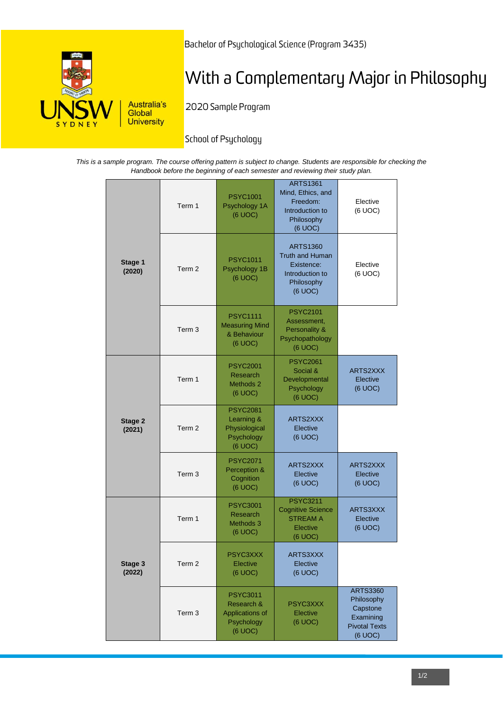

Bachelor of Psychological Science (Program 3435)

# With a Complementary Major in Philosophy

2020 Sample Program

# School of Psychology

*This is a sample program. The course offering pattern is subject to change. Students are responsible for checking the Handbook before the beginning of each semester and reviewing their study plan.*

| Stage 1<br>(2020) | Term 1            | <b>PSYC1001</b><br>Psychology 1A<br>(6 UOC)                               | <b>ARTS1361</b><br>Mind, Ethics, and<br>Freedom:<br>Introduction to<br>Philosophy<br>(6 UOC)        | Elective<br>(6 UOC)                                                                       |
|-------------------|-------------------|---------------------------------------------------------------------------|-----------------------------------------------------------------------------------------------------|-------------------------------------------------------------------------------------------|
|                   | Term 2            | <b>PSYC1011</b><br>Psychology 1B<br>(6 UOC)                               | <b>ARTS1360</b><br><b>Truth and Human</b><br>Existence:<br>Introduction to<br>Philosophy<br>(6 UOC) | Elective<br>(6 UOC)                                                                       |
|                   | Term <sub>3</sub> | <b>PSYC1111</b><br><b>Measuring Mind</b><br>& Behaviour<br>(6 UOC)        | <b>PSYC2101</b><br>Assessment,<br>Personality &<br>Psychopathology<br>(6 UOC)                       |                                                                                           |
| Stage 2<br>(2021) | Term 1            | <b>PSYC2001</b><br>Research<br>Methods 2<br>(6 UOC)                       | <b>PSYC2061</b><br>Social &<br>Developmental<br>Psychology<br>(6 UOC)                               | ARTS2XXX<br>Elective<br>(6 UOC)                                                           |
|                   | Term 2            | <b>PSYC2081</b><br>Learning &<br>Physiological<br>Psychology<br>(6 UOC)   | ARTS2XXX<br>Elective<br>(6 UOC)                                                                     |                                                                                           |
|                   | Term <sub>3</sub> | <b>PSYC2071</b><br>Perception &<br>Cognition<br>(6 UOC)                   | ARTS2XXX<br>Elective<br>(6 UOC)                                                                     | ARTS2XXX<br>Elective<br>(6 UOC)                                                           |
| Stage 3<br>(2022) | Term 1            | <b>PSYC3001</b><br><b>Research</b><br>Methods 3<br>(6 UOC)                | <b>PSYC3211</b><br><b>Cognitive Science</b><br><b>STREAM A</b><br>Elective<br>$(6$ UOC $)$          | ARTS3XXX<br>Elective<br>(6 UOC)                                                           |
|                   | Term 2            | PSYC3XXX<br>Elective<br>(6 UOC)                                           | <b>ARTS3XXX</b><br>Elective<br>(6 UOC)                                                              |                                                                                           |
|                   | Term 3            | <b>PSYC3011</b><br>Research &<br>Applications of<br>Psychology<br>(6 UOC) | PSYC3XXX<br>Elective<br>(6 UOC)                                                                     | <b>ARTS3360</b><br>Philosophy<br>Capstone<br>Examining<br><b>Pivotal Texts</b><br>(6 UOC) |